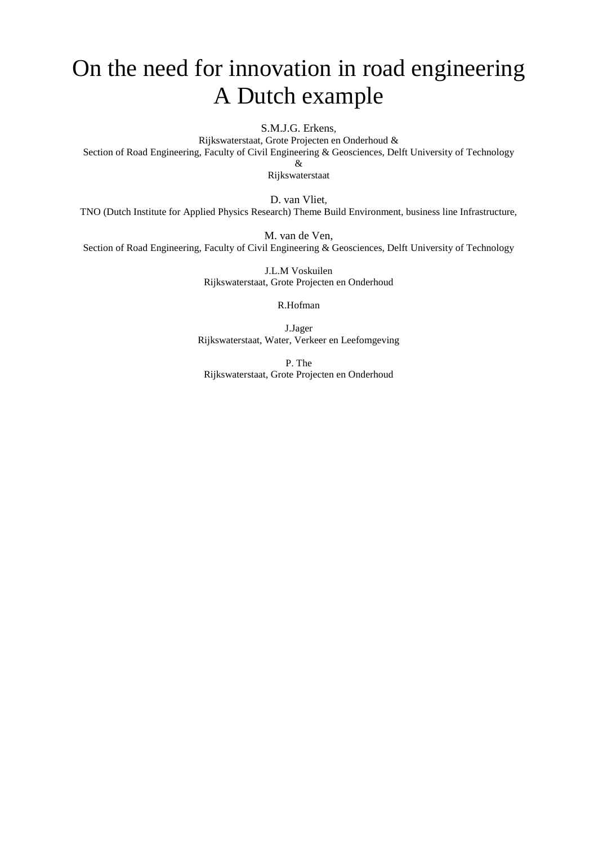# On the need for innovation in road engineering A Dutch example

S.M.J.G. Erkens*,* 

Rijkswaterstaat, Grote Projecten en Onderhoud & Section of Road Engineering, Faculty of Civil Engineering & Geosciences, Delft University of Technology

&

Rijkswaterstaat

D. van Vliet*,* 

TNO (Dutch Institute for Applied Physics Research) Theme Build Environment, business line Infrastructure,

M. van de Ven,

Section of Road Engineering, Faculty of Civil Engineering & Geosciences, Delft University of Technology

J.L.M Voskuilen Rijkswaterstaat, Grote Projecten en Onderhoud

R.Hofman

J.Jager Rijkswaterstaat, Water, Verkeer en Leefomgeving

P. The Rijkswaterstaat, Grote Projecten en Onderhoud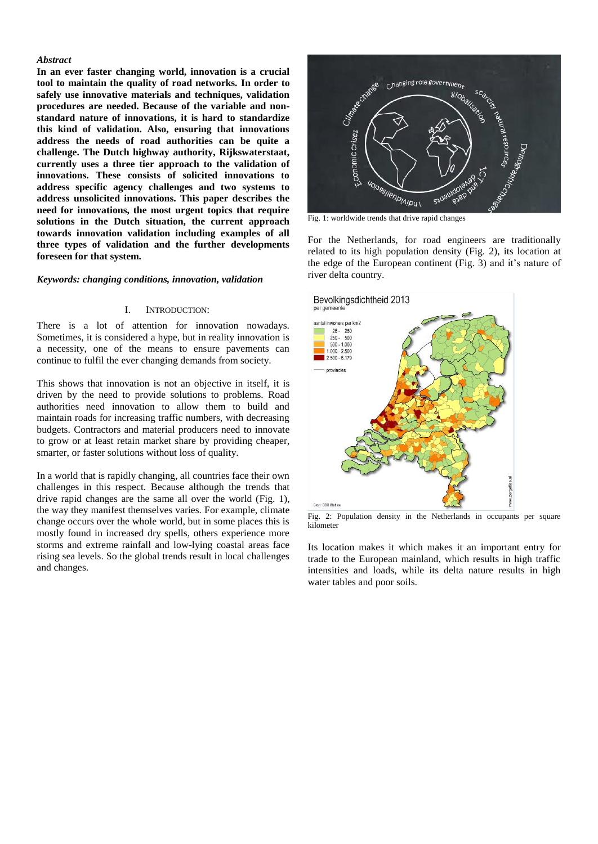### *Abstract*

**In an ever faster changing world, innovation is a crucial tool to maintain the quality of road networks. In order to safely use innovative materials and techniques, validation procedures are needed. Because of the variable and nonstandard nature of innovations, it is hard to standardize this kind of validation. Also, ensuring that innovations address the needs of road authorities can be quite a challenge. The Dutch highway authority, Rijkswaterstaat, currently uses a three tier approach to the validation of innovations. These consists of solicited innovations to address specific agency challenges and two systems to address unsolicited innovations. This paper describes the need for innovations, the most urgent topics that require solutions in the Dutch situation, the current approach towards innovation validation including examples of all three types of validation and the further developments foreseen for that system.**

#### *Keywords: changing conditions, innovation, validation*

#### I. INTRODUCTION:

There is a lot of attention for innovation nowadays. Sometimes, it is considered a hype, but in reality innovation is a necessity, one of the means to ensure pavements can continue to fulfil the ever changing demands from society.

This shows that innovation is not an objective in itself, it is driven by the need to provide solutions to problems. Road authorities need innovation to allow them to build and maintain roads for increasing traffic numbers, with decreasing budgets. Contractors and material producers need to innovate to grow or at least retain market share by providing cheaper, smarter, or faster solutions without loss of quality.

In a world that is rapidly changing, all countries face their own challenges in this respect. Because although the trends that drive rapid changes are the same all over the world [\(Fig.](#page-1-0) 1), the way they manifest themselves varies. For example, climate change occurs over the whole world, but in some places this is mostly found in increased dry spells, others experience more storms and extreme rainfall and low-lying coastal areas face rising sea levels. So the global trends result in local challenges and changes.



<span id="page-1-0"></span>Fig. 1: worldwide trends that drive rapid changes

For the Netherlands, for road engineers are traditionally related to its high population density [\(Fig.](#page-1-1) 2), its location at the edge of the European continent [\(Fig.](#page-2-0) 3) and it's nature of river delta country.



<span id="page-1-1"></span>Fig. 2: Population density in the Netherlands in occupants per square kilometer

Its location makes it which makes it an important entry for trade to the European mainland, which results in high traffic intensities and loads, while its delta nature results in high water tables and poor soils.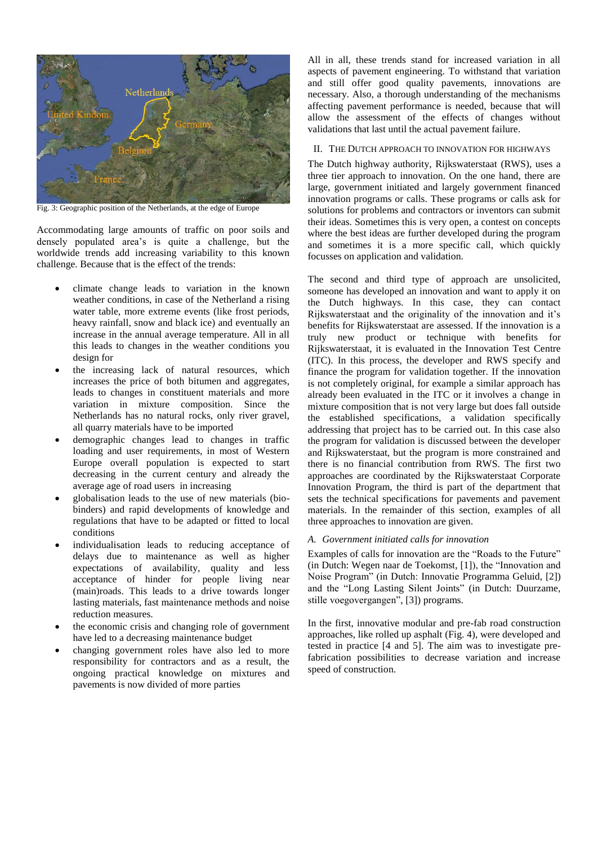

Fig. 3: Geographic position of the Netherlands, at the edge of Europe

<span id="page-2-0"></span>Accommodating large amounts of traffic on poor soils and densely populated area's is quite a challenge, but the worldwide trends add increasing variability to this known challenge. Because that is the effect of the trends:

- climate change leads to variation in the known weather conditions, in case of the Netherland a rising water table, more extreme events (like frost periods, heavy rainfall, snow and black ice) and eventually an increase in the annual average temperature. All in all this leads to changes in the weather conditions you design for
- the increasing lack of natural resources, which increases the price of both bitumen and aggregates, leads to changes in constituent materials and more variation in mixture composition. Since the Netherlands has no natural rocks, only river gravel, all quarry materials have to be imported
- demographic changes lead to changes in traffic loading and user requirements, in most of Western Europe overall population is expected to start decreasing in the current century and already the average age of road users in increasing
- globalisation leads to the use of new materials (biobinders) and rapid developments of knowledge and regulations that have to be adapted or fitted to local conditions
- individualisation leads to reducing acceptance of delays due to maintenance as well as higher expectations of availability, quality and less acceptance of hinder for people living near (main)roads. This leads to a drive towards longer lasting materials, fast maintenance methods and noise reduction measures.
- the economic crisis and changing role of government have led to a decreasing maintenance budget
- changing government roles have also led to more responsibility for contractors and as a result, the ongoing practical knowledge on mixtures and pavements is now divided of more parties

All in all, these trends stand for increased variation in all aspects of pavement engineering. To withstand that variation and still offer good quality pavements, innovations are necessary. Also, a thorough understanding of the mechanisms affecting pavement performance is needed, because that will allow the assessment of the effects of changes without validations that last until the actual pavement failure.

## II. THE DUTCH APPROACH TO INNOVATION FOR HIGHWAYS

The Dutch highway authority, Rijkswaterstaat (RWS), uses a three tier approach to innovation. On the one hand, there are large, government initiated and largely government financed innovation programs or calls. These programs or calls ask for solutions for problems and contractors or inventors can submit their ideas. Sometimes this is very open, a contest on concepts where the best ideas are further developed during the program and sometimes it is a more specific call, which quickly focusses on application and validation.

The second and third type of approach are unsolicited, someone has developed an innovation and want to apply it on the Dutch highways. In this case, they can contact Rijkswaterstaat and the originality of the innovation and it's benefits for Rijkswaterstaat are assessed. If the innovation is a truly new product or technique with benefits for Rijkswaterstaat, it is evaluated in the Innovation Test Centre (ITC). In this process, the developer and RWS specify and finance the program for validation together. If the innovation is not completely original, for example a similar approach has already been evaluated in the ITC or it involves a change in mixture composition that is not very large but does fall outside the established specifications, a validation specifically addressing that project has to be carried out. In this case also the program for validation is discussed between the developer and Rijkswaterstaat, but the program is more constrained and there is no financial contribution from RWS. The first two approaches are coordinated by the Rijkswaterstaat Corporate Innovation Program, the third is part of the department that sets the technical specifications for pavements and pavement materials. In the remainder of this section, examples of all three approaches to innovation are given.

## <span id="page-2-1"></span>*A. Government initiated calls for innovation*

Examples of calls for innovation are the "Roads to the Future" (in Dutch: Wegen naar de Toekomst, [1]), the "Innovation and Noise Program" (in Dutch: Innovatie Programma Geluid, [2]) and the "Long Lasting Silent Joints" (in Dutch: Duurzame, stille voegovergangen", [3]) programs.

In the first, innovative modular and pre-fab road construction approaches, like rolled up asphalt [\(Fig.](#page-3-0) 4), were developed and tested in practice [4 and 5]. The aim was to investigate prefabrication possibilities to decrease variation and increase speed of construction.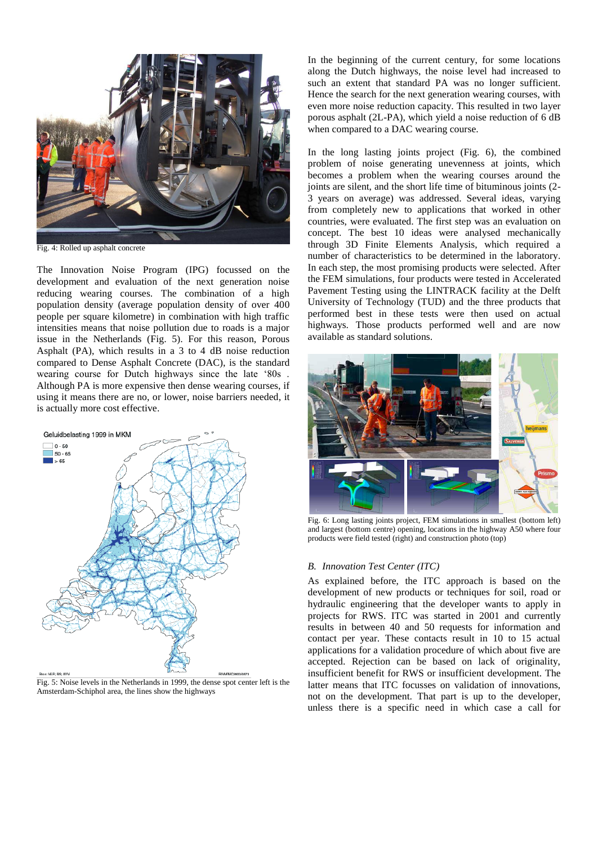

Fig. 4: Rolled up asphalt concrete

<span id="page-3-0"></span>The Innovation Noise Program (IPG) focussed on the development and evaluation of the next generation noise reducing wearing courses. The combination of a high population density (average population density of over 400 people per square kilometre) in combination with high traffic intensities means that noise pollution due to roads is a major issue in the Netherlands [\(Fig.](#page-3-1) 5). For this reason, Porous Asphalt (PA), which results in a 3 to 4 dB noise reduction compared to Dense Asphalt Concrete (DAC), is the standard wearing course for Dutch highways since the late '80s . Although PA is more expensive then dense wearing courses, if using it means there are no, or lower, noise barriers needed, it is actually more cost effective.



<span id="page-3-1"></span>Fig. 5: Noise levels in the Netherlands in 1999, the dense spot center left is the Amsterdam-Schiphol area, the lines show the highways

In the beginning of the current century, for some locations along the Dutch highways, the noise level had increased to such an extent that standard PA was no longer sufficient. Hence the search for the next generation wearing courses, with even more noise reduction capacity. This resulted in two layer porous asphalt (2L-PA), which yield a noise reduction of 6 dB when compared to a DAC wearing course.

In the long lasting joints project [\(Fig.](#page-3-2) 6), the combined problem of noise generating unevenness at joints, which becomes a problem when the wearing courses around the joints are silent, and the short life time of bituminous joints (2- 3 years on average) was addressed. Several ideas, varying from completely new to applications that worked in other countries, were evaluated. The first step was an evaluation on concept. The best 10 ideas were analysed mechanically through 3D Finite Elements Analysis, which required a number of characteristics to be determined in the laboratory. In each step, the most promising products were selected. After the FEM simulations, four products were tested in Accelerated Pavement Testing using the LINTRACK facility at the Delft University of Technology (TUD) and the three products that performed best in these tests were then used on actual highways. Those products performed well and are now available as standard solutions.



Fig. 6: Long lasting joints project, FEM simulations in smallest (bottom left) and largest (bottom centre) opening, locations in the highway A50 where four products were field tested (right) and construction photo (top)

## <span id="page-3-2"></span>*B. Innovation Test Center (ITC)*

As explained before, the ITC approach is based on the development of new products or techniques for soil, road or hydraulic engineering that the developer wants to apply in projects for RWS. ITC was started in 2001 and currently results in between 40 and 50 requests for information and contact per year. These contacts result in 10 to 15 actual applications for a validation procedure of which about five are accepted. Rejection can be based on lack of originality, insufficient benefit for RWS or insufficient development. The latter means that ITC focusses on validation of innovations, not on the development. That part is up to the developer, unless there is a specific need in which case a call for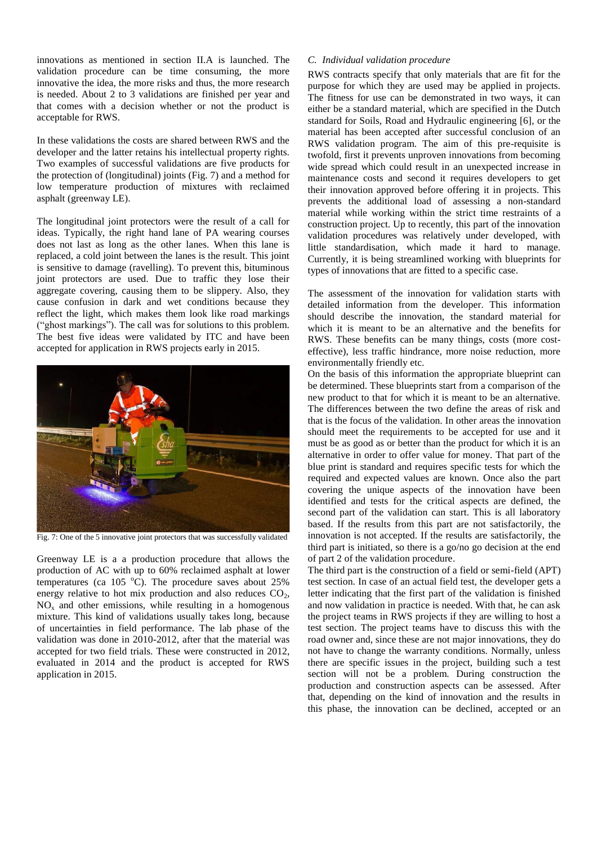innovations as mentioned in section [II.A](#page-2-1) is launched. The validation procedure can be time consuming, the more innovative the idea, the more risks and thus, the more research is needed. About 2 to 3 validations are finished per year and that comes with a decision whether or not the product is acceptable for RWS.

In these validations the costs are shared between RWS and the developer and the latter retains his intellectual property rights. Two examples of successful validations are five products for the protection of (longitudinal) joints [\(Fig.](#page-4-0) 7) and a method for low temperature production of mixtures with reclaimed asphalt (greenway LE).

The longitudinal joint protectors were the result of a call for ideas. Typically, the right hand lane of PA wearing courses does not last as long as the other lanes. When this lane is replaced, a cold joint between the lanes is the result. This joint is sensitive to damage (ravelling). To prevent this, bituminous joint protectors are used. Due to traffic they lose their aggregate covering, causing them to be slippery. Also, they cause confusion in dark and wet conditions because they reflect the light, which makes them look like road markings ("ghost markings"). The call was for solutions to this problem. The best five ideas were validated by ITC and have been accepted for application in RWS projects early in 2015.



Fig. 7: One of the 5 innovative joint protectors that was successfully validated

<span id="page-4-0"></span>Greenway LE is a a production procedure that allows the production of AC with up to 60% reclaimed asphalt at lower temperatures (ca  $105\text{ °C}$ ). The procedure saves about 25% energy relative to hot mix production and also reduces  $CO<sub>2</sub>$ ,  $NO<sub>x</sub>$  and other emissions, while resulting in a homogenous mixture. This kind of validations usually takes long, because of uncertainties in field performance. The lab phase of the validation was done in 2010-2012, after that the material was accepted for two field trials. These were constructed in 2012, evaluated in 2014 and the product is accepted for RWS application in 2015.

# *C. Individual validation procedure*

RWS contracts specify that only materials that are fit for the purpose for which they are used may be applied in projects. The fitness for use can be demonstrated in two ways, it can either be a standard material, which are specified in the Dutch standard for Soils, Road and Hydraulic engineering [6], or the material has been accepted after successful conclusion of an RWS validation program. The aim of this pre-requisite is twofold, first it prevents unproven innovations from becoming wide spread which could result in an unexpected increase in maintenance costs and second it requires developers to get their innovation approved before offering it in projects. This prevents the additional load of assessing a non-standard material while working within the strict time restraints of a construction project. Up to recently, this part of the innovation validation procedures was relatively under developed, with little standardisation, which made it hard to manage. Currently, it is being streamlined working with blueprints for types of innovations that are fitted to a specific case.

The assessment of the innovation for validation starts with detailed information from the developer. This information should describe the innovation, the standard material for which it is meant to be an alternative and the benefits for RWS. These benefits can be many things, costs (more costeffective), less traffic hindrance, more noise reduction, more environmentally friendly etc.

On the basis of this information the appropriate blueprint can be determined. These blueprints start from a comparison of the new product to that for which it is meant to be an alternative. The differences between the two define the areas of risk and that is the focus of the validation. In other areas the innovation should meet the requirements to be accepted for use and it must be as good as or better than the product for which it is an alternative in order to offer value for money. That part of the blue print is standard and requires specific tests for which the required and expected values are known. Once also the part covering the unique aspects of the innovation have been identified and tests for the critical aspects are defined, the second part of the validation can start. This is all laboratory based. If the results from this part are not satisfactorily, the innovation is not accepted. If the results are satisfactorily, the third part is initiated, so there is a go/no go decision at the end of part 2 of the validation procedure.

The third part is the construction of a field or semi-field (APT) test section. In case of an actual field test, the developer gets a letter indicating that the first part of the validation is finished and now validation in practice is needed. With that, he can ask the project teams in RWS projects if they are willing to host a test section. The project teams have to discuss this with the road owner and, since these are not major innovations, they do not have to change the warranty conditions. Normally, unless there are specific issues in the project, building such a test section will not be a problem. During construction the production and construction aspects can be assessed. After that, depending on the kind of innovation and the results in this phase, the innovation can be declined, accepted or an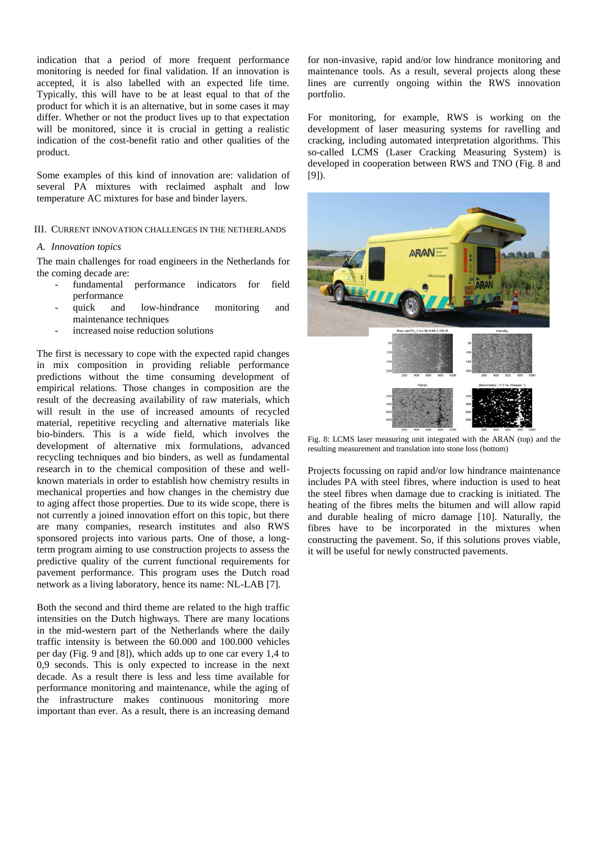indication that a period of more frequent performance monitoring is needed for final validation. If an innovation is accepted, it is also labelled with an expected life time. Typically, this will have to be at least equal to that of the product for which it is an alternative, but in some cases it may differ. Whether or not the product lives up to that expectation will be monitored, since it is crucial in getting a realistic indication of the cost-benefit ratio and other qualities of the product.

Some examples of this kind of innovation are: validation of several PA mixtures with reclaimed asphalt and low temperature AC mixtures for base and binder layers.

III. CURRENT INNOVATION CHALLENGES IN THE NETHERLANDS

### *A. Innovation topics*

The main challenges for road engineers in the Netherlands for the coming decade are:

- fundamental performance indicators for field performance
- quick and low-hindrance monitoring and maintenance techniques
- increased noise reduction solutions

The first is necessary to cope with the expected rapid changes in mix composition in providing reliable performance predictions without the time consuming development of empirical relations. Those changes in composition are the result of the decreasing availability of raw materials, which will result in the use of increased amounts of recycled material, repetitive recycling and alternative materials like bio-binders. This is a wide field, which involves the development of alternative mix formulations, advanced recycling techniques and bio binders, as well as fundamental research in to the chemical composition of these and wellknown materials in order to establish how chemistry results in mechanical properties and how changes in the chemistry due to aging affect those properties. Due to its wide scope, there is not currently a joined innovation effort on this topic, but there are many companies, research institutes and also RWS sponsored projects into various parts. One of those, a longterm program aiming to use construction projects to assess the predictive quality of the current functional requirements for pavement performance. This program uses the Dutch road network as a living laboratory, hence its name: NL-LAB [7].

Both the second and third theme are related to the high traffic intensities on the Dutch highways. There are many locations in the mid-western part of the Netherlands where the daily traffic intensity is between the 60.000 and 100.000 vehicles per day [\(Fig.](#page-6-0) 9 and [8]), which adds up to one car every 1,4 to 0,9 seconds. This is only expected to increase in the next decade. As a result there is less and less time available for performance monitoring and maintenance, while the aging of the infrastructure makes continuous monitoring more important than ever. As a result, there is an increasing demand

for non-invasive, rapid and/or low hindrance monitoring and maintenance tools. As a result, several projects along these lines are currently ongoing within the RWS innovation portfolio.

For monitoring, for example, RWS is working on the development of laser measuring systems for ravelling and cracking, including automated interpretation algorithms. This so-called LCMS (Laser Cracking Measuring System) is developed in cooperation between RWS and TNO [\(Fig.](#page-5-0) 8 and [9]).



Fig. 8: LCMS laser measuring unit integrated with the ARAN (top) and the resulting measurement and translation into stone loss (bottom)

<span id="page-5-0"></span>Projects focussing on rapid and/or low hindrance maintenance includes PA with steel fibres, where induction is used to heat the steel fibres when damage due to cracking is initiated. The heating of the fibres melts the bitumen and will allow rapid and durable healing of micro damage [10]. Naturally, the fibres have to be incorporated in the mixtures when constructing the pavement. So, if this solutions proves viable, it will be useful for newly constructed pavements.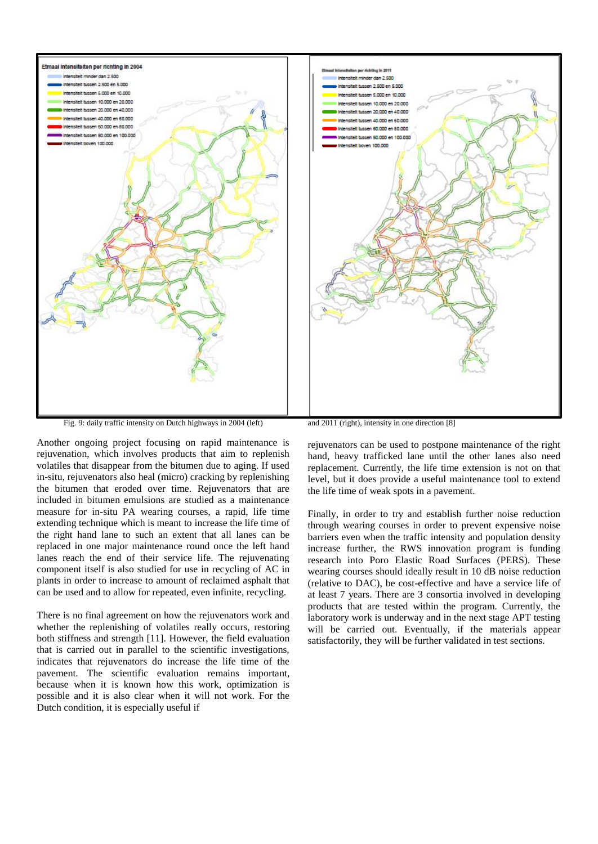

Fig. 9: daily traffic intensity on Dutch highways in 2004 (left)

<span id="page-6-0"></span>Another ongoing project focusing on rapid maintenance is rejuvenation, which involves products that aim to replenish volatiles that disappear from the bitumen due to aging. If used in-situ, rejuvenators also heal (micro) cracking by replenishing the bitumen that eroded over time. Rejuvenators that are included in bitumen emulsions are studied as a maintenance measure for in-situ PA wearing courses, a rapid, life time extending technique which is meant to increase the life time of the right hand lane to such an extent that all lanes can be replaced in one major maintenance round once the left hand lanes reach the end of their service life. The rejuvenating component itself is also studied for use in recycling of AC in plants in order to increase to amount of reclaimed asphalt that can be used and to allow for repeated, even infinite, recycling.

There is no final agreement on how the rejuvenators work and whether the replenishing of volatiles really occurs, restoring both stiffness and strength [11]. However, the field evaluation that is carried out in parallel to the scientific investigations, indicates that rejuvenators do increase the life time of the pavement. The scientific evaluation remains important, because when it is known how this work, optimization is possible and it is also clear when it will not work. For the Dutch condition, it is especially useful if

rejuvenators can be used to postpone maintenance of the right hand, heavy trafficked lane until the other lanes also need replacement. Currently, the life time extension is not on that level, but it does provide a useful maintenance tool to extend

the life time of weak spots in a pavement.

Finally, in order to try and establish further noise reduction through wearing courses in order to prevent expensive noise barriers even when the traffic intensity and population density increase further, the RWS innovation program is funding research into Poro Elastic Road Surfaces (PERS). These wearing courses should ideally result in 10 dB noise reduction (relative to DAC), be cost-effective and have a service life of at least 7 years. There are 3 consortia involved in developing products that are tested within the program. Currently, the laboratory work is underway and in the next stage APT testing will be carried out. Eventually, if the materials appear satisfactorily, they will be further validated in test sections.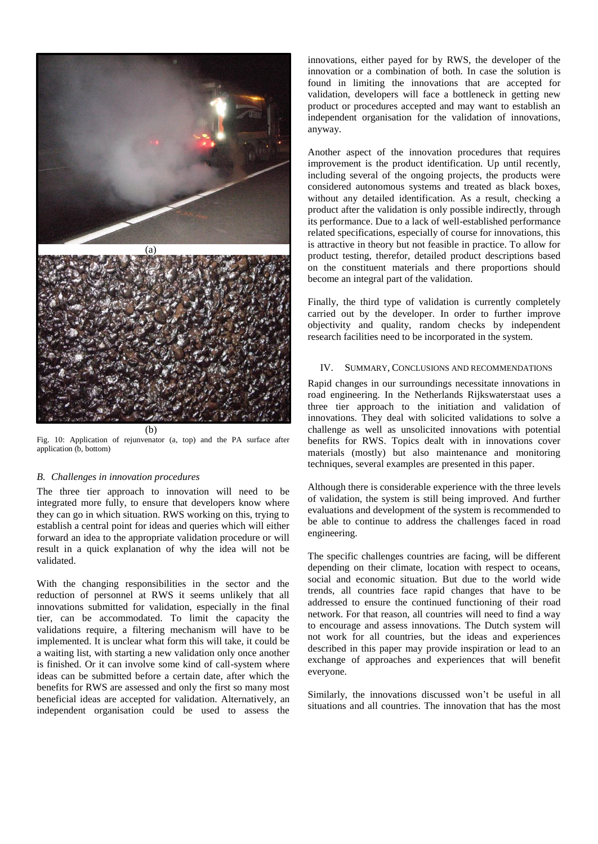

(b)

Fig. 10: Application of rejunvenator (a, top) and the PA surface after application (b, bottom)

## *B. Challenges in innovation procedures*

The three tier approach to innovation will need to be integrated more fully, to ensure that developers know where they can go in which situation. RWS working on this, trying to establish a central point for ideas and queries which will either forward an idea to the appropriate validation procedure or will result in a quick explanation of why the idea will not be validated.

With the changing responsibilities in the sector and the reduction of personnel at RWS it seems unlikely that all innovations submitted for validation, especially in the final tier, can be accommodated. To limit the capacity the validations require, a filtering mechanism will have to be implemented. It is unclear what form this will take, it could be a waiting list, with starting a new validation only once another is finished. Or it can involve some kind of call-system where ideas can be submitted before a certain date, after which the benefits for RWS are assessed and only the first so many most beneficial ideas are accepted for validation. Alternatively, an independent organisation could be used to assess the innovations, either payed for by RWS, the developer of the innovation or a combination of both. In case the solution is found in limiting the innovations that are accepted for validation, developers will face a bottleneck in getting new product or procedures accepted and may want to establish an independent organisation for the validation of innovations, anyway.

Another aspect of the innovation procedures that requires improvement is the product identification. Up until recently, including several of the ongoing projects, the products were considered autonomous systems and treated as black boxes, without any detailed identification. As a result, checking a product after the validation is only possible indirectly, through its performance. Due to a lack of well-established performance related specifications, especially of course for innovations, this is attractive in theory but not feasible in practice. To allow for product testing, therefor, detailed product descriptions based on the constituent materials and there proportions should become an integral part of the validation.

Finally, the third type of validation is currently completely carried out by the developer. In order to further improve objectivity and quality, random checks by independent research facilities need to be incorporated in the system.

## IV. SUMMARY, CONCLUSIONS AND RECOMMENDATIONS

Rapid changes in our surroundings necessitate innovations in road engineering. In the Netherlands Rijkswaterstaat uses a three tier approach to the initiation and validation of innovations. They deal with solicited validations to solve a challenge as well as unsolicited innovations with potential benefits for RWS. Topics dealt with in innovations cover materials (mostly) but also maintenance and monitoring techniques, several examples are presented in this paper.

Although there is considerable experience with the three levels of validation, the system is still being improved. And further evaluations and development of the system is recommended to be able to continue to address the challenges faced in road engineering.

The specific challenges countries are facing, will be different depending on their climate, location with respect to oceans, social and economic situation. But due to the world wide trends, all countries face rapid changes that have to be addressed to ensure the continued functioning of their road network. For that reason, all countries will need to find a way to encourage and assess innovations. The Dutch system will not work for all countries, but the ideas and experiences described in this paper may provide inspiration or lead to an exchange of approaches and experiences that will benefit everyone.

Similarly, the innovations discussed won't be useful in all situations and all countries. The innovation that has the most